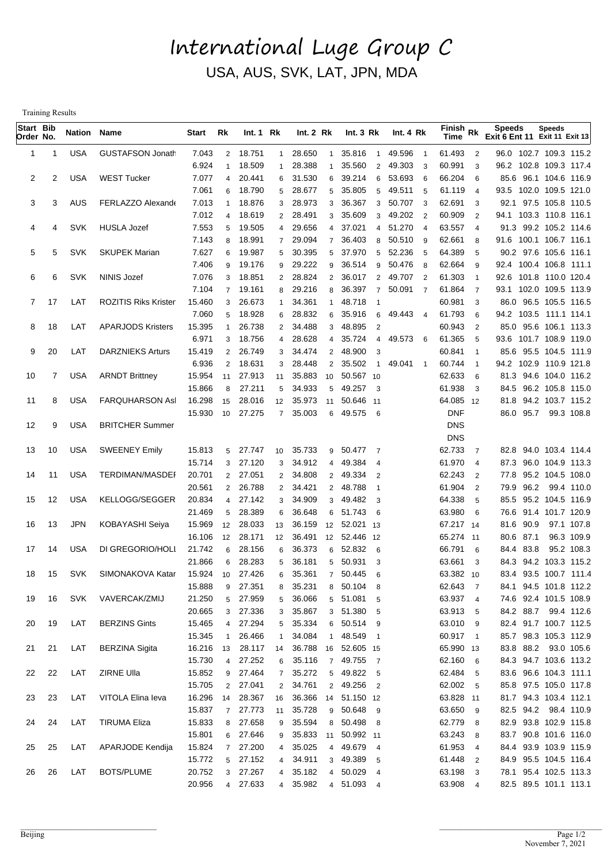## International Luge Group C USA, AUS, SVK, LAT, JPN, MDA

Training Results

| Start Bib<br>Order No. |    | <b>Nation Name</b> |                             | Start            | Rk                  | Int.1 Rk            |                     | Int. 2 Rk        |                     | Int. $3 Rk$                     | Int. 4 Rk                |                          | $F$ inish Rk<br><b>Time</b> |                          | <b>Speeds</b><br><b>Exit 6 Ent 11 Exit 11 Exit 13</b> | Speeds |                                                |  |
|------------------------|----|--------------------|-----------------------------|------------------|---------------------|---------------------|---------------------|------------------|---------------------|---------------------------------|--------------------------|--------------------------|-----------------------------|--------------------------|-------------------------------------------------------|--------|------------------------------------------------|--|
| 1                      | -1 | USA                | <b>GUSTAFSON Jonath</b>     | 7.043            | $\overline{2}$      | 18.751              | $\mathbf{1}$        | 28.650           | $\mathbf{1}$        | 35.816<br>$\overline{1}$        | 49.596                   | - 1                      | 61.493                      | $\overline{2}$           | 96.0 102.7 109.3 115.2                                |        |                                                |  |
|                        |    |                    |                             | 6.924            | 1                   | 18.509              | $\mathbf{1}$        | 28.388           | $\mathbf{1}$        | 35.560<br>$\overline{2}$        | 49.303                   | - 3                      | 60.991                      | 3                        | 96.2 102.8 109.3 117.4                                |        |                                                |  |
| 2                      | 2  | <b>USA</b>         | <b>WEST Tucker</b>          | 7.077            | 4                   | 20.441              |                     | 6 31.530         | 6                   | 39.214<br>6                     | 53.693                   | - 6                      | 66.204                      | 6                        |                                                       |        | 85.6 96.1 104.6 116.9                          |  |
|                        |    |                    |                             | 7.061            | 6                   | 18.790              | 5 <sup>5</sup>      | 28.677           | 5                   | 35.805<br>5                     | 49.511 5                 |                          | 61.119                      | $\overline{4}$           | 93.5 102.0 109.5 121.0                                |        |                                                |  |
| 3                      | 3  | AUS                | <b>FERLAZZO Alexande</b>    | 7.013            |                     | 18.876              | 3                   | 28.973           | 3                   | 36.367<br>3                     | 50.707 3                 |                          | 62.691                      | -3                       |                                                       |        | 92.1 97.5 105.8 110.5                          |  |
|                        |    |                    |                             | 7.012            | 4                   | 18.619              | $\overline{2}$      | 28.491           | 3                   | 35.609<br>3                     | 49.202 2                 |                          | 60.909                      | $\overline{2}$           | 94.1 103.3 110.8 116.1                                |        |                                                |  |
| 4                      | 4  | <b>SVK</b>         | <b>HUSLA Jozef</b>          | 7.553            | 5                   | 19.505              | 4                   | 29.656           | $\overline{4}$      | 37.021                          | 4 51.270                 | $\overline{4}$           | 63.557                      | $\overline{4}$           |                                                       |        | 91.3 99.2 105.2 114.6                          |  |
| 5                      | 5  | <b>SVK</b>         | <b>SKUPEK Marian</b>        | 7.143<br>7.627   | 8<br>6              | 18.991<br>19.987    | $7^{\circ}$<br>5    | 29.094<br>30.395 | $\overline{7}$<br>5 | 36.403<br>8<br>37.970<br>5      | $50.510$ 9<br>52.236     | - 5                      | 62.661<br>64.389            | 8<br>-5                  | 91.6 100.1 106.7 116.1                                |        | 90.2 97.6 105.6 116.1                          |  |
|                        |    |                    |                             | 7.406            | 9                   | 19.176              | 9                   | 29.222           | 9                   | 36.514<br>9                     | 50.476                   | - 8                      | 62.664                      | -9                       | 92.4 100.4 106.8 111.1                                |        |                                                |  |
| 6                      | 6  | <b>SVK</b>         | <b>NINIS Jozef</b>          | 7.076            | 3                   | 18.851              | $\mathbf{2}$        | 28.824           | 2                   | 36.017<br>$\overline{2}$        | 49.707 2                 |                          | 61.303                      | $\overline{\mathbf{1}}$  | 92.6 101.8 110.0 120.4                                |        |                                                |  |
|                        |    |                    |                             | 7.104            | $7^{\circ}$         | 19.161              | 8                   | 29.216           | 8                   | 36.397<br>$\overline{7}$        | 50.091<br>$\overline{7}$ |                          | 61.864                      | $\overline{7}$           | 93.1 102.0 109.5 113.9                                |        |                                                |  |
| 7                      | 17 | LAT                | <b>ROZITIS Riks Krister</b> | 15.460           | 3                   | 26.673              | 1                   | 34.361           | $\mathbf{1}$        | 48.718                          |                          |                          | 60.981                      | -3                       |                                                       |        | 86.0 96.5 105.5 116.5                          |  |
|                        |    |                    |                             | 7.060            | 5                   | 18.928              | 6                   | 28.832           | 6                   | 35.916<br>6                     | 49.443 4                 |                          | 61.793                      | 6                        | 94.2 103.5 111.1 114.1                                |        |                                                |  |
| 8                      | 18 | LAT                | <b>APARJODS Kristers</b>    | 15.395           | 1                   | 26.738              | $\mathbf{2}$        | 34.488           | 3                   | 48.895<br>2                     |                          |                          | 60.943                      | $\overline{2}$           |                                                       |        | 85.0 95.6 106.1 113.3                          |  |
|                        |    |                    |                             | 6.971            | 3                   | 18.756              | 4                   | 28.628           | 4                   | 35.724<br>$\overline{4}$        | 49.573                   | - 6                      | 61.365                      | -5                       | 93.6 101.7 108.9 119.0                                |        |                                                |  |
| 9                      | 20 | LAT                | <b>DARZNIEKS Arturs</b>     | 15.419           | $\overline{2}$      | 26.749              | 3                   | 34.474           | $\overline{2}$      | 48.900<br>3                     |                          |                          | 60.841                      | $\overline{\phantom{0}}$ |                                                       |        | 85.6 95.5 104.5 111.9                          |  |
|                        |    |                    |                             | 6.936            | $\overline{2}$      | 18.631              | 3                   | 28.448           | $\overline{2}$      | 35.502<br>$\overline{1}$        | 49.041                   | $\overline{\phantom{0}}$ | 60.744                      | $\overline{1}$           | 94.2 102.9 110.9 121.8                                |        |                                                |  |
| 10                     | 7  | <b>USA</b>         | <b>ARNDT Brittney</b>       | 15.954           | 11                  | 27.913              | 11                  | 35.883           | 10                  | 50.567 10                       |                          |                          | 62.633                      | 6                        |                                                       |        | 81.3 94.6 104.0 116.2                          |  |
|                        |    |                    |                             | 15.866           | 8                   | 27.211              | 5                   | 34.933           | 5                   | 49.257 3                        |                          |                          | 61.938                      | 3                        |                                                       |        | 84.5 96.2 105.8 115.0                          |  |
| 11                     | 8  | <b>USA</b>         | <b>FARQUHARSON Asl</b>      | 16.298           | 15                  | 28.016              | 12                  | 35.973           | 11                  | 50.646 11                       |                          |                          | 64.085 12                   |                          |                                                       |        | 81.8 94.2 103.7 115.2                          |  |
| 12                     | 9  | <b>USA</b>         | <b>BRITCHER Summer</b>      | 15.930           | 10 <sup>1</sup>     | 27.275              | $\overline{7}$      | 35.003           | 6                   | 49.575 6                        |                          |                          | DNF<br><b>DNS</b>           |                          | 86.0 95.7                                             |        | 99.3 108.8                                     |  |
|                        |    |                    |                             |                  |                     |                     |                     |                  |                     |                                 |                          |                          | <b>DNS</b>                  |                          |                                                       |        |                                                |  |
| 13                     | 10 | <b>USA</b>         | <b>SWEENEY Emily</b>        | 15.813           | 5                   | 27.747              | 10 <sup>°</sup>     | 35.733           | 9                   | 50.477 7                        |                          |                          | 62.733                      | $\overline{7}$           |                                                       |        | 82.8 94.0 103.4 114.4                          |  |
|                        |    |                    |                             | 15.714           | 3                   | 27.120              | 3                   | 34.912           | $\overline{4}$      | 49.384<br>$\overline{4}$        |                          |                          | 61.970                      | $\overline{4}$           |                                                       |        | 87.3 96.0 104.9 113.3                          |  |
| 14                     | 11 | <b>USA</b>         | <b>TERDIMAN/MASDEF</b>      | 20.701           | $\overline{2}$      | 27.051              | $2^{\circ}$         | 34.808           | $\overline{2}$      | 49.334<br>$\overline{2}$        |                          |                          | 62.243                      | $\overline{2}$           |                                                       |        | 77.8 95.2 104.5 108.0                          |  |
|                        |    |                    |                             | 20.561           | $\overline{2}$      | 26.788              | $\mathbf{2}$        | 34.421           | $2^{\circ}$         | 48.788                          |                          |                          | 61.904                      | $\overline{2}$           | 79.9 96.2                                             |        | 99.4 110.0                                     |  |
| 15                     | 12 | <b>USA</b>         | <b>KELLOGG/SEGGER</b>       | 20.834           | 4                   | 27.142              | 3                   | 34.909           | 3                   | 49.482<br>-3                    |                          |                          | 64.338                      | 5                        |                                                       |        | 85.5 95.2 104.5 116.9                          |  |
|                        |    |                    |                             | 21.469           | 5                   | 28.389              | 6                   | 36.648           | 6                   | 51.743 6                        |                          |                          | 63.980                      | 6                        |                                                       |        | 76.6 91.4 101.7 120.9                          |  |
| 16                     | 13 | <b>JPN</b>         | KOBAYASHI Seiya             | 15.969           | 12                  | 28.033              | 13                  | 36.159           | 12                  | 52.021 13                       |                          |                          | 67.217 14                   |                          | 81.6 90.9                                             |        | 97.1 107.8                                     |  |
|                        |    |                    |                             | 16.106           | 12 <sup>2</sup>     | 28.171              | 12 <sup>2</sup>     | 36.491           | 12                  | 52.446 12                       |                          |                          | 65.274 11                   |                          | 80.6 87.1                                             |        | 96.3 109.9                                     |  |
| 17                     | 14 | USA                | DI GREGORIO/HOLI            | 21.742           | 6                   | 28.156              | 6                   | 36.373           | 6                   | 52.832<br>- 6                   |                          |                          | 66.791                      | 6                        | 84.4 83.8                                             |        | 95.2 108.3                                     |  |
|                        |    | <b>SVK</b>         |                             | 21.866           | 6                   | 28.283              | 5                   | 36.181           | 5                   | 50.931<br>3                     |                          |                          | 63.661                      | 3                        | 94.2<br>84.3                                          |        | 103.3 115.2                                    |  |
| 18                     | 15 |                    | SIMONAKOVA Katar            | 15.924<br>15.888 | 9                   | 10 27.426<br>27.351 | 6<br>8              | 35.361<br>35.231 | 8                   | 7 50.445<br>- 6<br>50.104 8     |                          |                          | 63.382 10<br>62.643 7       |                          |                                                       |        | 83.4 93.5 100.7 111.4<br>84.1 94.5 101.8 112.2 |  |
| 19                     | 16 | <b>SVK</b>         | VAVERCAK/ZMIJ               | 21.250           | 5                   | 27.959              | 5 <sup>5</sup>      | 36.066           |                     | 5 51.081 5                      |                          |                          | 63.937 4                    |                          |                                                       |        | 74.6 92.4 101.5 108.9                          |  |
|                        |    |                    |                             | 20.665           | 3                   | 27.336              | 3                   | 35.867           |                     | 3 51.380 5                      |                          |                          | 63.913                      | - 5                      | 84.2 88.7                                             |        | 99.4 112.6                                     |  |
| 20                     | 19 | LAT                | <b>BERZINS Gints</b>        | 15.465           | 4                   | 27.294              | 5 <sub>5</sub>      | 35.334           |                     | 6 50.514 9                      |                          |                          | 63.010 9                    |                          |                                                       |        | 82.4 91.7 100.7 112.5                          |  |
|                        |    |                    |                             | 15.345           | $\overline{1}$      | 26.466              | $\mathbf{1}$        | 34.084           | $\mathbf{1}$        | 48.549 1                        |                          |                          | 60.917 1                    |                          |                                                       |        | 85.7 98.3 105.3 112.9                          |  |
| 21                     | 21 | LAT                | <b>BERZINA Sigita</b>       | 16.216           | 13                  | 28.117              | 14                  | 36.788           | 16                  | 52.605 15                       |                          |                          | 65.990 13                   |                          | 83.8 88.2                                             |        | 93.0 105.6                                     |  |
|                        |    |                    |                             | 15.730           | 4                   | 27.252              | 6                   | 35.116           |                     | 7 49.755 7                      |                          |                          | 62.160 6                    |                          |                                                       |        | 84.3 94.7 103.6 113.2                          |  |
| 22                     | 22 | LAT                | ZIRNE Ulla                  | 15.852           | 9                   | 27.464              | $7^{\circ}$         | 35.272           |                     | 5 49.822 5                      |                          |                          | 62.484 5                    |                          |                                                       |        | 83.6 96.6 104.3 111.1                          |  |
|                        |    |                    |                             | 15.705           | $\overline{2}$      | 27.041              | $\overline{2}$      | 34.761           |                     | 2 49.256 2                      |                          |                          | 62.002 5                    |                          |                                                       |        | 85.8 97.5 105.0 117.8                          |  |
| 23                     | 23 | LAT                | VITOLA Elina leva           | 16.296           | 14                  | 28.367              | 16                  |                  |                     | 36.366 14 51.150 12             |                          |                          | 63.828 11                   |                          |                                                       |        | 81.7 94.3 103.4 112.1                          |  |
|                        |    |                    |                             | 15.837           | $\overline{7}$      | 27.773              | 11                  | 35.728           |                     | 9 50.648 9                      |                          |                          | 63.650                      | - 9                      | 82.5 94.2                                             |        | 98.4 110.9                                     |  |
| 24                     | 24 | LAT                | <b>TIRUMA Eliza</b>         | 15.833           | 8                   | 27.658              | 9                   | 35.594           |                     | 8 50.498 8                      |                          |                          | 62.779                      | 8                        |                                                       |        | 82.9 93.8 102.9 115.8                          |  |
| 25                     | 25 | LAT                | APARJODE Kendija            | 15.801<br>15.824 | 6<br>$\overline{7}$ | 27.646<br>27.200    | 9<br>$\overline{4}$ | 35.025           | 4                   | 35.833 11 50.992 11<br>49.679 4 |                          |                          | 63.243<br>61.953            | 8<br>$\overline{4}$      |                                                       |        | 83.7 90.8 101.6 116.0<br>84.4 93.9 103.9 115.9 |  |
|                        |    |                    |                             | 15.772           | 5                   | 27.152              | 4                   | 34.911           | 3 <sup>1</sup>      | 49.389 5                        |                          |                          | 61.448                      | $\overline{2}$           |                                                       |        | 84.9 95.5 104.5 116.4                          |  |
| 26                     | 26 | LAT                | BOTS/PLUME                  | 20.752           | 3                   | 27.267              | $\overline{4}$      | 35.182           | 4                   | 50.029 4                        |                          |                          | 63.198                      | 3                        |                                                       |        | 78.1 95.4 102.5 113.3                          |  |
|                        |    |                    |                             | 20.956           |                     | 4 27.633            |                     | 4 35.982         |                     | 4 51.093 4                      |                          |                          | 63.908 4                    |                          |                                                       |        | 82.5 89.5 101.1 113.1                          |  |
|                        |    |                    |                             |                  |                     |                     |                     |                  |                     |                                 |                          |                          |                             |                          |                                                       |        |                                                |  |